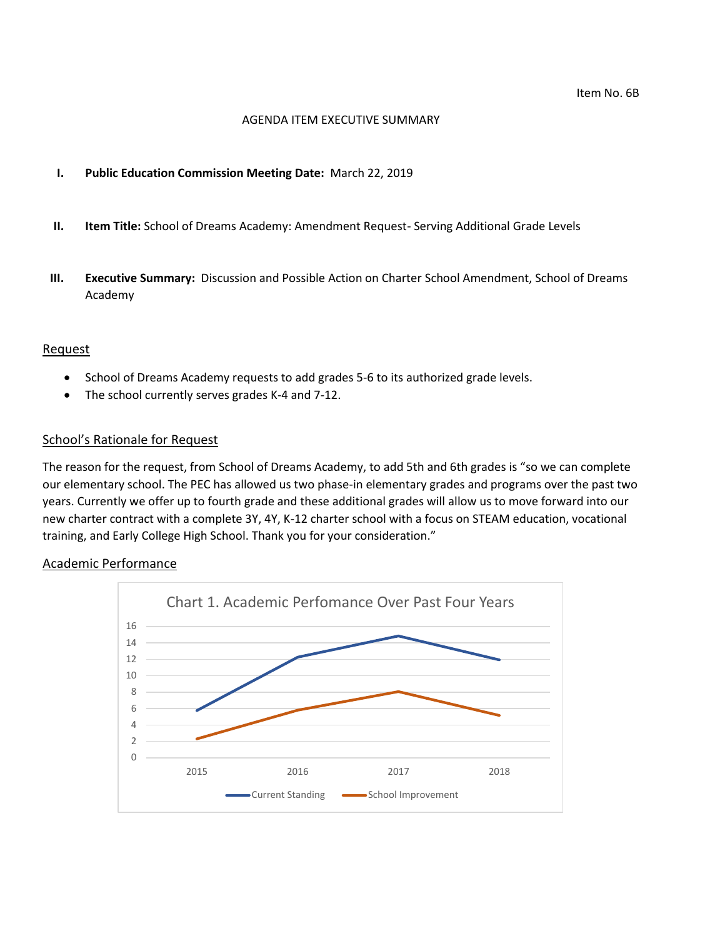#### AGENDA ITEM EXECUTIVE SUMMARY

#### **I. Public Education Commission Meeting Date:** March 22, 2019

- **II. Item Title:** School of Dreams Academy: Amendment Request- Serving Additional Grade Levels
- **III. Executive Summary:** Discussion and Possible Action on Charter School Amendment, School of Dreams Academy

#### Request

- School of Dreams Academy requests to add grades 5-6 to its authorized grade levels.
- The school currently serves grades K-4 and 7-12.

#### School's Rationale for Request

The reason for the request, from School of Dreams Academy, to add 5th and 6th grades is "so we can complete our elementary school. The PEC has allowed us two phase-in elementary grades and programs over the past two years. Currently we offer up to fourth grade and these additional grades will allow us to move forward into our new charter contract with a complete 3Y, 4Y, K-12 charter school with a focus on STEAM education, vocational training, and Early College High School. Thank you for your consideration."

#### Academic Performance

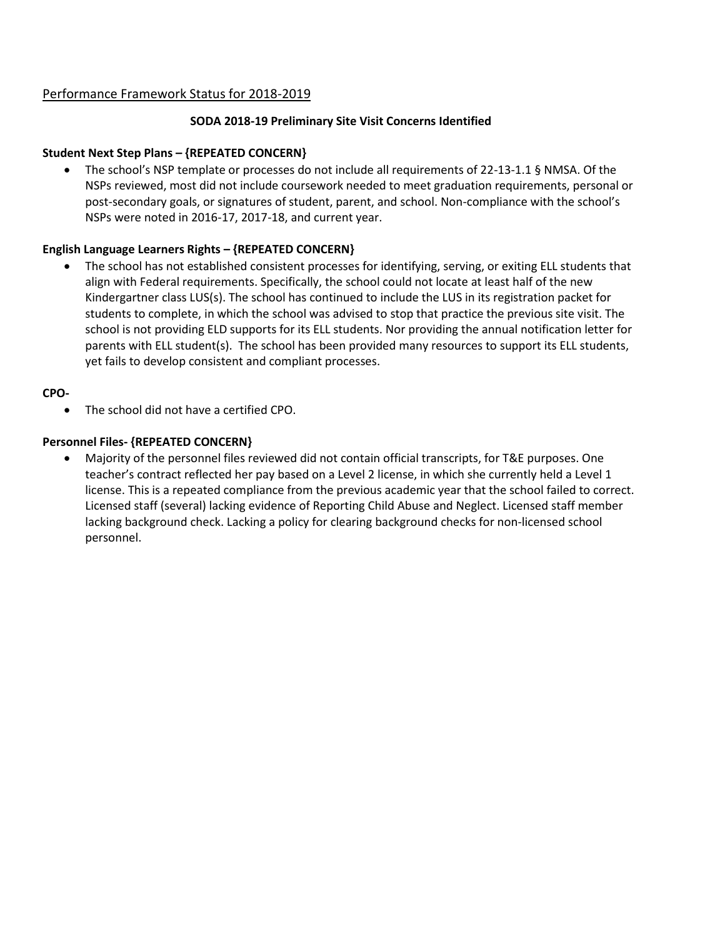# Performance Framework Status for 2018-2019

## **SODA 2018-19 Preliminary Site Visit Concerns Identified**

#### **Student Next Step Plans – {REPEATED CONCERN}**

 The school's NSP template or processes do not include all requirements of 22-13-1.1 § NMSA. Of the NSPs reviewed, most did not include coursework needed to meet graduation requirements, personal or post-secondary goals, or signatures of student, parent, and school. Non-compliance with the school's NSPs were noted in 2016-17, 2017-18, and current year.

## **English Language Learners Rights – {REPEATED CONCERN}**

 The school has not established consistent processes for identifying, serving, or exiting ELL students that align with Federal requirements. Specifically, the school could not locate at least half of the new Kindergartner class LUS(s). The school has continued to include the LUS in its registration packet for students to complete, in which the school was advised to stop that practice the previous site visit. The school is not providing ELD supports for its ELL students. Nor providing the annual notification letter for parents with ELL student(s). The school has been provided many resources to support its ELL students, yet fails to develop consistent and compliant processes.

## **CPO-**

The school did not have a certified CPO.

#### **Personnel Files- {REPEATED CONCERN}**

 Majority of the personnel files reviewed did not contain official transcripts, for T&E purposes. One teacher's contract reflected her pay based on a Level 2 license, in which she currently held a Level 1 license. This is a repeated compliance from the previous academic year that the school failed to correct. Licensed staff (several) lacking evidence of Reporting Child Abuse and Neglect. Licensed staff member lacking background check. Lacking a policy for clearing background checks for non-licensed school personnel.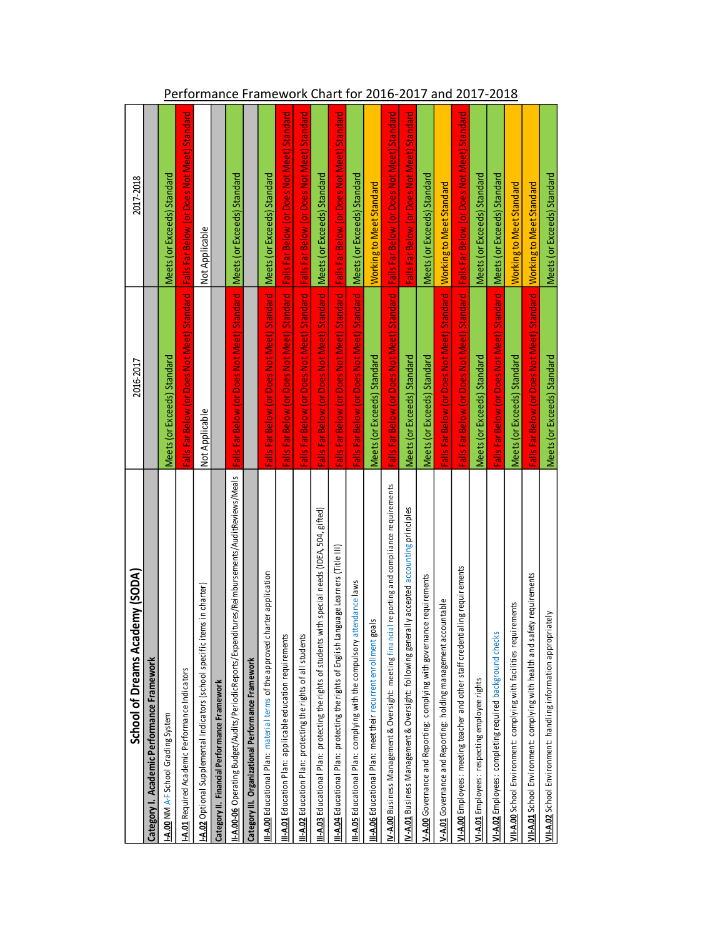| School of Dreams Academy (SODA)                                                                           | 2016-2017                                                                                 | 2017-2018                                   |
|-----------------------------------------------------------------------------------------------------------|-------------------------------------------------------------------------------------------|---------------------------------------------|
| Category I. Academic Performance Framework                                                                |                                                                                           |                                             |
| <b>I-A.00 NM A-F School Grading System</b>                                                                | Meets (or Exceeds) Standard                                                               | Meets (or Exceeds) Standard                 |
| <b>I-A.01</b> Required Academic Performance Indicators                                                    | Falls Far Below (or Does Not Meet) Standard   Falls Far Below (or Does Not Meet) Standard |                                             |
| I-A.02 Optional Supplemental Indicators (school specific items in charter)                                | Not Applicable                                                                            | Not Applicable                              |
| Category II. Financial Performance Framework                                                              |                                                                                           |                                             |
| I <b>I-A.00-06</b> Operating Budget/Audits/PeriodicReports/Expenditures/Reimbursements/AuditReviews/Meals | Falls Far Below (or Does Not Meet) Standard                                               | Meets (or Exceeds) Standard                 |
| Category III. Organizational Performance Framework                                                        |                                                                                           |                                             |
| III-A.00 Educational Plan: material terms of the approved charter application                             | Falls Far Below (or Does Not Meet) Standard Meets (or Exceeds) Standard                   |                                             |
| III-A.01 Education Plan: applicable education requirements                                                | Falls Far Below (or Does Not Meet) Standard   Falls Far Below (or Does Not Meet) Standard |                                             |
| II-A.02 Education Plan: protecting the rights of all students                                             | Falls Far Below (or Does Not Meet) Standard                                               | Falls Far Below (or Does Not Meet) Standard |
| III-A.03 Educational Plan: protecting the rights of students with special needs (IDEA, 504, gifted)       | Falls Far Below (or Does Not Meet) Standard   Meets (or Exceeds) Standard                 |                                             |
| III-A.04 Educational Plan: protecting the rights of English Language Learners (Title III)                 | Falls Far Below (or Does Not Meet) Standard                                               | Falls Far Below (or Does Not Meet) Standard |
| II-A.05 Educational Plan: complying with the compulsory attendance laws                                   | Falls Far Below (or Does Not Meet) Standard                                               | Meets (or Exceeds) Standard                 |
| II-A.06 Educational Plan: meet their recurrent enrollment goals                                           | Meets (or Exceeds) Standard                                                               | <b>Working to Meet Standard</b>             |
| N-A.00 Business Management & Oversight: meeting financial reporting and compliance requirements           | Falls Far Below (or Does Not Meet) Standard                                               | Falls Far Below (or Does Not Meet) Standard |
| N-A.01 Business Management & Oversight: following generally accepted accounting principles                | Meets (or Exceeds) Standard                                                               | Falls Far Below (or Does Not Meet) Standard |
| V-A.00 Governance and Reporting: complying with governance requirements                                   | Meets (or Exceeds) Standard                                                               | Meets (or Exceeds) Standard                 |
| V-A.01 Governance and Reporting: holding management accountable                                           | Falls Far Below (or Does Not Meet) Standard                                               | Working to Meet Standard                    |
| VI-A.00 Employees: meeting teacher and other staff credentialing requirements                             | Falls Far Below (or Does Not Meet) Standard   Falls Far Below (or Does Not Meet) Standard |                                             |
| VI-A.01 Employees: respecting employee rights                                                             | Meets (or Exceeds) Standard                                                               | Meets (or Exceeds) Standard                 |
| VI-A.02 Employees: completing required background checks                                                  | Falls Far Below (or Does Not Meet) Standard                                               | Meets (or Exceeds) Standard                 |
| VII-A.00 School Environment: complying with facilities requirements                                       | Meets (or Exceeds) Standard                                                               | Working to Meet Standard                    |
| fety requirements<br>VII-A.01 School Environment: complying with health and sat                           | Falls Far Below (or Does Not Meet) Standard   Working to Meet Standard                    |                                             |
| VII-A.02 School Environment: handling information appropriately                                           | Meets (or Exceeds) Standard                                                               | Meets (or Exceeds) Standard                 |

# Performance Framework Chart for 2016-2017 and 2017-2018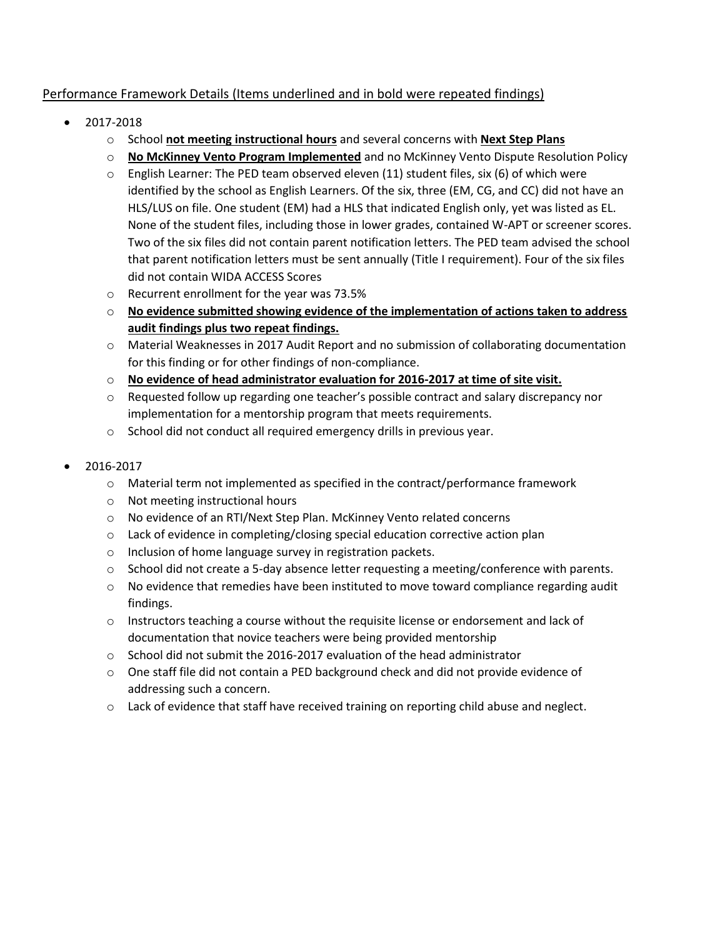# Performance Framework Details (Items underlined and in bold were repeated findings)

- 2017-2018
	- o School **not meeting instructional hours** and several concerns with **Next Step Plans**
	- o **No McKinney Vento Program Implemented** and no McKinney Vento Dispute Resolution Policy
	- $\circ$  English Learner: The PED team observed eleven (11) student files, six (6) of which were identified by the school as English Learners. Of the six, three (EM, CG, and CC) did not have an HLS/LUS on file. One student (EM) had a HLS that indicated English only, yet was listed as EL. None of the student files, including those in lower grades, contained W-APT or screener scores. Two of the six files did not contain parent notification letters. The PED team advised the school that parent notification letters must be sent annually (Title I requirement). Four of the six files did not contain WIDA ACCESS Scores
	- o Recurrent enrollment for the year was 73.5%
	- o **No evidence submitted showing evidence of the implementation of actions taken to address audit findings plus two repeat findings.**
	- o Material Weaknesses in 2017 Audit Report and no submission of collaborating documentation for this finding or for other findings of non-compliance.
	- o **No evidence of head administrator evaluation for 2016-2017 at time of site visit.**
	- o Requested follow up regarding one teacher's possible contract and salary discrepancy nor implementation for a mentorship program that meets requirements.
	- o School did not conduct all required emergency drills in previous year.
- 2016-2017
	- $\circ$  Material term not implemented as specified in the contract/performance framework
	- o Not meeting instructional hours
	- o No evidence of an RTI/Next Step Plan. McKinney Vento related concerns
	- $\circ$  Lack of evidence in completing/closing special education corrective action plan
	- o Inclusion of home language survey in registration packets.
	- o School did not create a 5-day absence letter requesting a meeting/conference with parents.
	- $\circ$  No evidence that remedies have been instituted to move toward compliance regarding audit findings.
	- $\circ$  Instructors teaching a course without the requisite license or endorsement and lack of documentation that novice teachers were being provided mentorship
	- $\circ$  School did not submit the 2016-2017 evaluation of the head administrator
	- $\circ$  One staff file did not contain a PED background check and did not provide evidence of addressing such a concern.
	- $\circ$  Lack of evidence that staff have received training on reporting child abuse and neglect.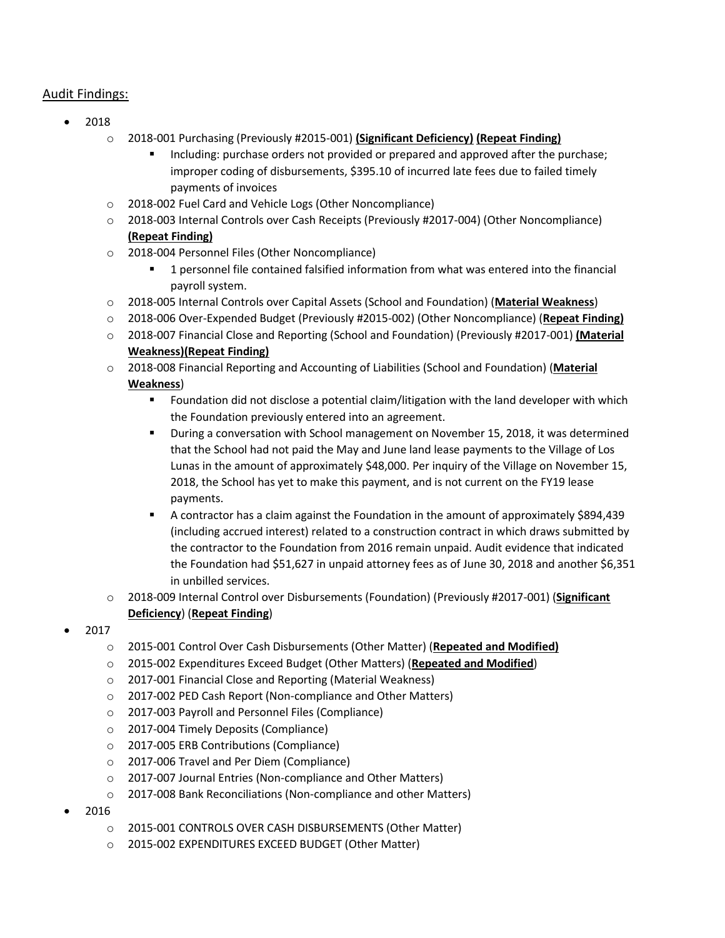# Audit Findings:

- 2018
	- o 2018-001 Purchasing (Previously #2015-001) **(Significant Deficiency) (Repeat Finding)**
		- Including: purchase orders not provided or prepared and approved after the purchase; improper coding of disbursements, \$395.10 of incurred late fees due to failed timely payments of invoices
	- o 2018-002 Fuel Card and Vehicle Logs (Other Noncompliance)
	- o 2018-003 Internal Controls over Cash Receipts (Previously #2017-004) (Other Noncompliance) **(Repeat Finding)**
	- o 2018-004 Personnel Files (Other Noncompliance)
		- 1 personnel file contained falsified information from what was entered into the financial payroll system.
	- o 2018-005 Internal Controls over Capital Assets (School and Foundation) (**Material Weakness**)
	- o 2018-006 Over-Expended Budget (Previously #2015-002) (Other Noncompliance) (**Repeat Finding)**
	- o 2018-007 Financial Close and Reporting (School and Foundation) (Previously #2017-001) **(Material Weakness)(Repeat Finding)**
	- o 2018-008 Financial Reporting and Accounting of Liabilities (School and Foundation) (**Material Weakness**)
		- Foundation did not disclose a potential claim/litigation with the land developer with which the Foundation previously entered into an agreement.
		- During a conversation with School management on November 15, 2018, it was determined that the School had not paid the May and June land lease payments to the Village of Los Lunas in the amount of approximately \$48,000. Per inquiry of the Village on November 15, 2018, the School has yet to make this payment, and is not current on the FY19 lease payments.
		- A contractor has a claim against the Foundation in the amount of approximately \$894,439 (including accrued interest) related to a construction contract in which draws submitted by the contractor to the Foundation from 2016 remain unpaid. Audit evidence that indicated the Foundation had \$51,627 in unpaid attorney fees as of June 30, 2018 and another \$6,351 in unbilled services.
	- o 2018-009 Internal Control over Disbursements (Foundation) (Previously #2017-001) (**Significant Deficiency**) (**Repeat Finding**)
- 2017
	- o 2015-001 Control Over Cash Disbursements (Other Matter) (**Repeated and Modified)**
	- o 2015-002 Expenditures Exceed Budget (Other Matters) (**Repeated and Modified**)
	- o 2017-001 Financial Close and Reporting (Material Weakness)
	- o 2017-002 PED Cash Report (Non-compliance and Other Matters)
	- o 2017-003 Payroll and Personnel Files (Compliance)
	- o 2017-004 Timely Deposits (Compliance)
	- o 2017-005 ERB Contributions (Compliance)
	- o 2017-006 Travel and Per Diem (Compliance)
	- o 2017-007 Journal Entries (Non-compliance and Other Matters)
	- o 2017-008 Bank Reconciliations (Non-compliance and other Matters)
- 2016
	- o 2015‐001 CONTROLS OVER CASH DISBURSEMENTS (Other Matter)
	- o 2015‐002 EXPENDITURES EXCEED BUDGET (Other Matter)